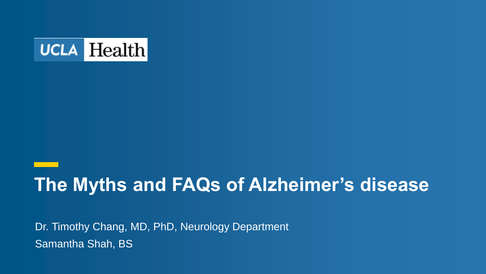

### **The Myths and FAQs of Alzheimer's disease**

Dr. Timothy Chang, MD, PhD, Neurology Department Samantha Shah, BS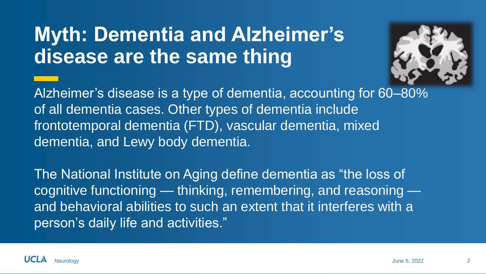### **Myth: Dementia and Alzheimer's disease are the same thing**



Alzheimer's disease is a type of dementia, accounting for 60–80% of all dementia cases. Other types of dementia include frontotemporal dementia (FTD), vascular dementia, mixed dementia, and Lewy body dementia.

The National Institute on Aging define dementia as "the loss of cognitive functioning — thinking, remembering, and reasoning and behavioral abilities to such an extent that it interferes with a person's daily life and activities."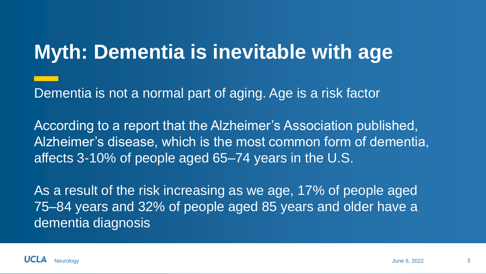### **Myth: Dementia is inevitable with age**

Dementia is not a normal part of aging. Age is a risk factor

According to a report that the Alzheimer's Association published, Alzheimer's disease, which is the most common form of dementia, affects 3-10% of people aged 65–74 years in the U.S.

As a result of the risk increasing as we age, 17% of people aged 75–84 years and 32% of people aged 85 years and older have a dementia diagnosis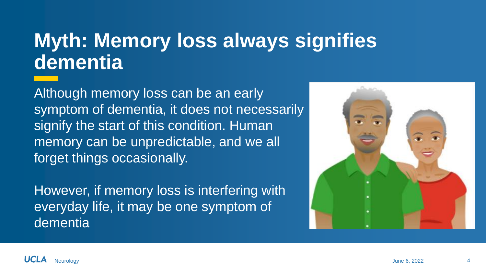### **Myth: Memory loss always signifies dementia**

Although memory loss can be an early symptom of dementia, it does not necessarily signify the start of this condition. Human memory can be unpredictable, and we all forget things occasionally.

However, if memory loss is interfering with everyday life, it may be one symptom of dementia

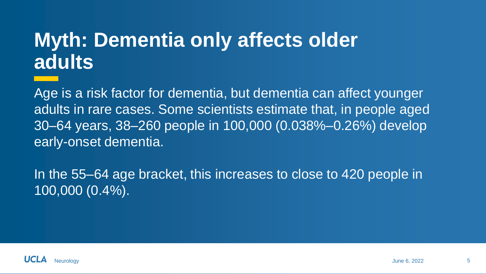### **Myth: Dementia only affects older adults**

Age is a risk factor for dementia, but dementia can affect younger adults in rare cases. Some scientists estimate that, in people aged 30–64 years, 38–260 people in 100,000 (0.038%–0.26%) develop early-onset dementia.

In the 55–64 age bracket, this increases to close to 420 people in 100,000 (0.4%).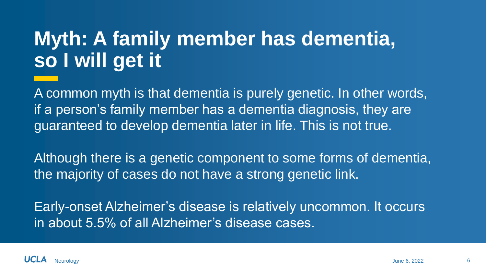## **Myth: A family member has dementia, so I will get it**

A common myth is that dementia is purely genetic. In other words, if a person's family member has a dementia diagnosis, they are guaranteed to develop dementia later in life. This is not true.

Although there is a genetic component to some forms of dementia, the majority of cases do not have a strong genetic link.

Early-onset Alzheimer's disease is relatively uncommon. It occurs in about 5.5% of all Alzheimer's disease cases.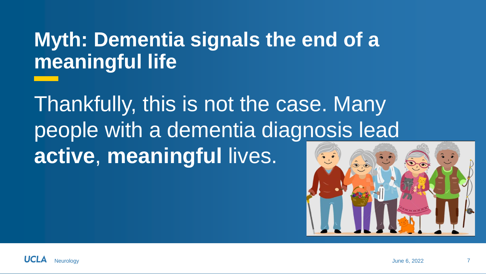### **Myth: Dementia signals the end of a meaningful life**

Thankfully, this is not the case. Many people with a dementia diagnosis lead **active**, **meaningful** lives.

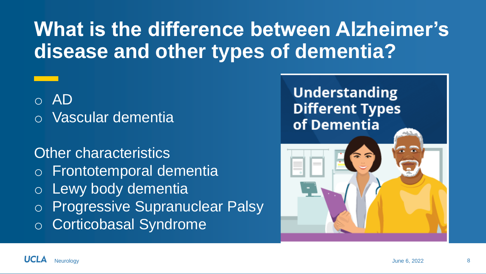### **What is the difference between Alzheimer's disease and other types of dementia?**

o AD

o Vascular dementia

### Other characteristics

- o Frontotemporal dementia
- o Lewy body dementia

o Progressive Supranuclear Palsy

o Corticobasal Syndrome

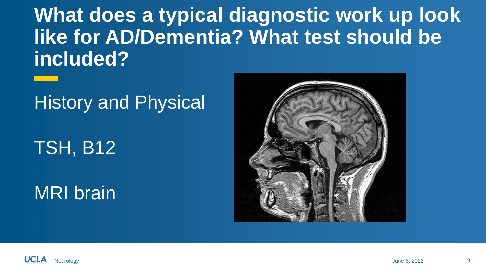**What does a typical diagnostic work up look like for AD/Dementia? What test should be included?**

### History and Physical

TSH, B12

MRI brain



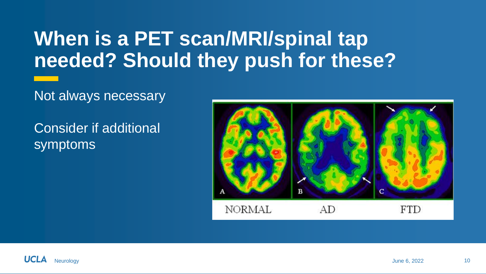### **When is a PET scan/MRI/spinal tap needed? Should they push for these?**

### Not always necessary

Consider if additional symptoms



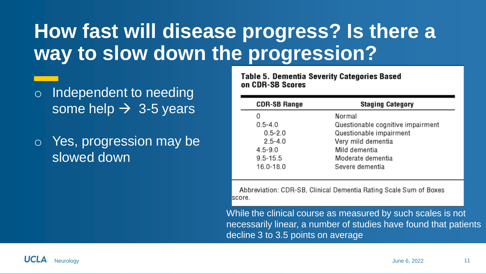### **How fast will disease progress? Is there a way to slow down the progression?**

- o Independent to needing some help  $\rightarrow$  3-5 years
- o Yes, progression may be slowed down

**Table 5. Dementia Severity Categories Based** on CDR-SB Scores

| <b>CDR-SB Range</b> | <b>Staging Category</b>           |  |  |  |
|---------------------|-----------------------------------|--|--|--|
| 0                   | Normal                            |  |  |  |
| $0.5 - 4.0$         | Questionable cognitive impairment |  |  |  |
| $0.5 - 2.0$         | Questionable impairment           |  |  |  |
| $2.5 - 4.0$         | Very mild dementia                |  |  |  |
| $4.5 - 9.0$         | Mild dementia                     |  |  |  |
| $9.5 - 15.5$        | Moderate dementia                 |  |  |  |
| 16.0-18.0           | Severe dementia                   |  |  |  |

Abbreviation: CDR-SB, Clinical Dementia Rating Scale Sum of Boxes score.

While the clinical course as measured by such scales is not necessarily linear, a number of studies have found that patients decline 3 to 3.5 points on average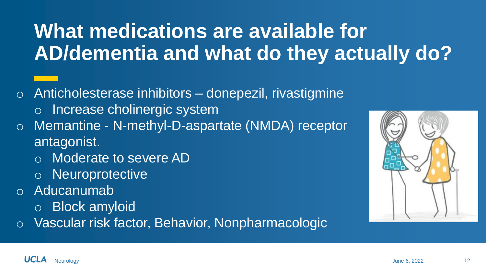## **What medications are available for AD/dementia and what do they actually do?**

- $\circ$  Anticholesterase inhibitors donepezil, rivastigmine
	- o Increase cholinergic system
- o Memantine N-methyl-D-aspartate (NMDA) receptor antagonist.
	- o Moderate to severe AD
	- o Neuroprotective
- o Aducanumab
	- o Block amyloid
- o Vascular risk factor, Behavior, Nonpharmacologic

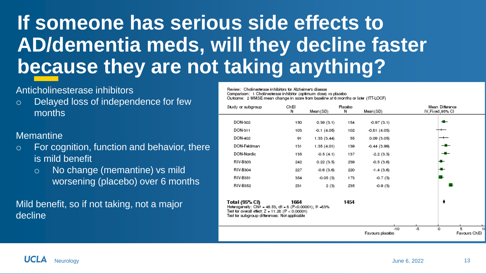## **If someone has serious side effects to AD/dementia meds, will they decline faster because they are not taking anything?**

#### Anticholinesterase inhibitors

o Delayed loss of independence for few months

#### **Memantine**

- o For cognition, function and behavior, there is mild benefit
	- o No change (memantine) vs mild worsening (placebo) over 6 months

Mild benefit, so if not taking, not a major decline

Review: Cholinesterase in hibitors for Alzheimers disease Comparison: 1 Cholinesterase inhibitor (optimum close) vs placebo Outcome: 2 MMSE mean change in score from baseline at 6 months or later (ITT-LOCF)

| Study or subgroup                                                                                                                                                                                           | ChEl<br>И | Mean (SD)       | Placebo<br>Ν | Mean (SD)                | Mean Ditterence<br>IV, Fixed, 95% CI |
|-------------------------------------------------------------------------------------------------------------------------------------------------------------------------------------------------------------|-----------|-----------------|--------------|--------------------------|--------------------------------------|
| DON-302                                                                                                                                                                                                     | 150       | 0.39(3.1)       | 154          | $-0.97(3.1)$             | -⊞–                                  |
| DON-311                                                                                                                                                                                                     | 103       | $-0.1$ $(4.05)$ | 102          | $-0.81(4.03)$            |                                      |
| DON-402                                                                                                                                                                                                     | 91        | 1.33(3.44)      | 55           | 0.09(3.05)               |                                      |
| DON-Feldman                                                                                                                                                                                                 | 131       | 1.35(4.01)      | 139          | $-0.44(3.99)$            |                                      |
| DON-Nordic                                                                                                                                                                                                  | 135       | $-0.5(4.1)$     | 137          | $-2.2(3.3)$              | $-$                                  |
| RIV-B303                                                                                                                                                                                                    | 242       | 0.22(3.5)       | 239          | $-0.5(3.6)$              |                                      |
| RIV-B304                                                                                                                                                                                                    | 227       | $-0.6(3.6)$     | 220          | $-1.4(3.6)$              |                                      |
| RIV-B351                                                                                                                                                                                                    | 354       | $-0.05(3)$      | 173          | $-0.7(3)$                |                                      |
| RIV-B352                                                                                                                                                                                                    | 231       | 2(3)            | 235          | $-0.9(3)$                |                                      |
| Total (95% CI)<br>Helerogeneity: Chi <sup>p</sup> - 46.53, dt - 8 (P<0.00001); l <sup>p</sup> -83%<br>Test for overall effect: $Z = 11.28$ $(P < 0.00001)$<br>Test for subgroup differences: Not applicable | 1664      |                 | 1454         |                          | ٠                                    |
|                                                                                                                                                                                                             |           |                 |              | $-10$<br>Favours placebo | -5<br>o<br>5<br>Favours ChEI         |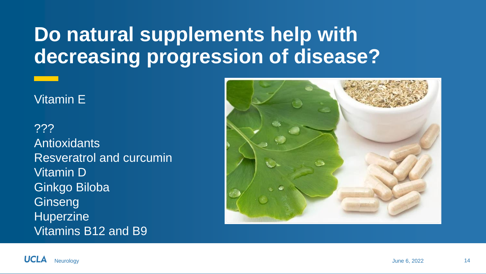### **Do natural supplements help with decreasing progression of disease?**

#### Vitamin E

??? **Antioxidants** Resveratrol and curcumin Vitamin D Ginkgo Biloba **Ginseng Huperzine** Vitamins B12 and B9



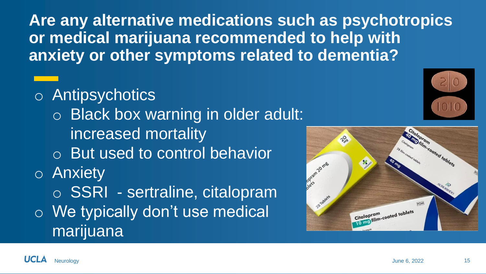**Are any alternative medications such as psychotropics or medical marijuana recommended to help with anxiety or other symptoms related to dementia?**

- o Antipsychotics
	- o Black box warning in older adult: increased mortality
	- o But used to control behavior
- o Anxiety
- o SSRI sertraline, citalopram o We typically don't use medical

marijuana



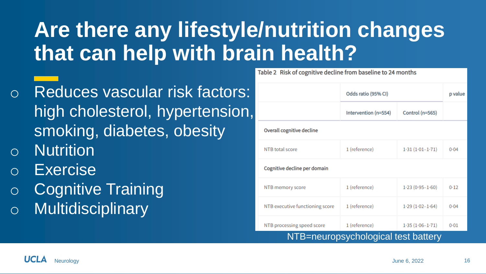# **Are there any lifestyle/nutrition changes that can help with brain health?**

- o Reduces vascular risk factors: high cholesterol, hypertension, smoking, diabetes, obesity
- o Nutrition
- o Exercise
- o Cognitive Training
- o Multidisciplinary

|                                     | Odds ratio (95% CI)  | p value             |        |  |  |  |  |  |
|-------------------------------------|----------------------|---------------------|--------|--|--|--|--|--|
|                                     | Intervention (n=554) | Control (n=565)     |        |  |  |  |  |  |
| Overall cognitive decline           |                      |                     |        |  |  |  |  |  |
| NTB total score                     | 1 (reference)        | $1.31(1.01 - 1.71)$ | 0.04   |  |  |  |  |  |
| Cognitive decline per domain        |                      |                     |        |  |  |  |  |  |
| NTB memory score                    | 1 (reference)        | $1.23(0.95 - 1.60)$ | $0-12$ |  |  |  |  |  |
| NTB executive functioning score     | 1 (reference)        | $1.29(1.02 - 1.64)$ | 0.04   |  |  |  |  |  |
| NTB processing speed score          | 1 (reference)        | $1.35(1.06 - 1.71)$ | 0.01   |  |  |  |  |  |
| NTB=neuropsychological test battery |                      |                     |        |  |  |  |  |  |

Table 2 Risk of cognitive decline from baseline to 24 months